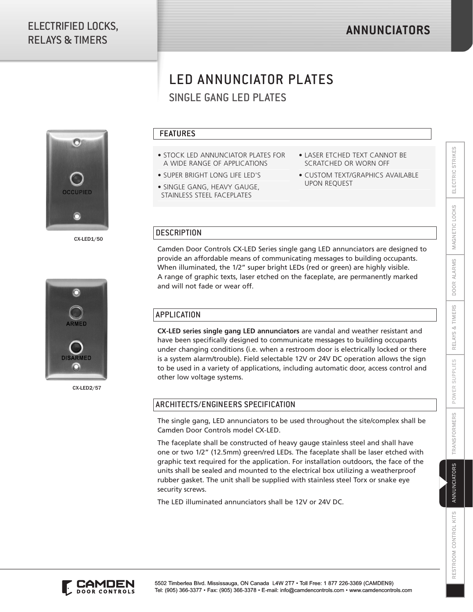# LED ANNUNCIATOR PLATES



CX-LED1/50



CX-LED2/57

#### FEATURES

- STOCK LED ANNUNCIATOR PLATES FOR A WIDE RANGE OF APPLICATIONS
- SUPER BRIGHT LONG LIFE LED'S
- SINGLE GANG, HEAVY GAUGE, STAINLESS STEEL FACEPLATES
- LASER ETCHED TEXT CANNOT BE SCRATCHED OR WORN OFF
- CUSTOM TEXT/GRAPHICS AVAILABLE UPON REQUEST

#### **DESCRIPTION**

Camden Door Controls CX-LED Series single gang LED annunciators are designed to provide an affordable means of communicating messages to building occupants. When illuminated, the 1/2" super bright LEDs (red or green) are highly visible. A range of graphic texts, laser etched on the faceplate, are permanently marked and will not fade or wear off.

### **APPLICATION**

SINGLE GANG LED PLATES<br>
SINGLE GANG LED PLATES TON<br>
VODE RANGE OF APPLICATIONS<br>
VODE RANGE OF APPLICATIONS<br>
VODE RANGE OF APPLICATIONS<br>
VODE RANGE OF APPLICATIONS<br>
SUPPLIES SUPPLIES CHE CONSIDERED OR WORN OFF<br>
CELE GANG, H **CX-LED series single gang LED annunciators** are vandal and weather resistant and have been specifically designed to communicate messages to building occupants under changing conditions (i.e. when a restroom door is electrically locked or there is a system alarm/trouble). Field selectable 12V or 24V DC operation allows the sign to be used in a variety of applications, including automatic door, access control and other low voltage systems.

#### ARCHITECTS/ENGINEERS SPECIFICATION

The single gang, LED annunciators to be used throughout the site/complex shall be Camden Door Controls model CX-LED.

The faceplate shall be constructed of heavy gauge stainless steel and shall have one or two 1/2" (12.5mm) green/red LEDs. The faceplate shall be laser etched with graphic text required for the application. For installation outdoors, the face of the units shall be sealed and mounted to the electrical box utilizing a weatherproof rubber gasket. The unit shall be supplied with stainless steel Torx or snake eye security screws.

The LED illuminated annunciators shall be 12V or 24V DC.